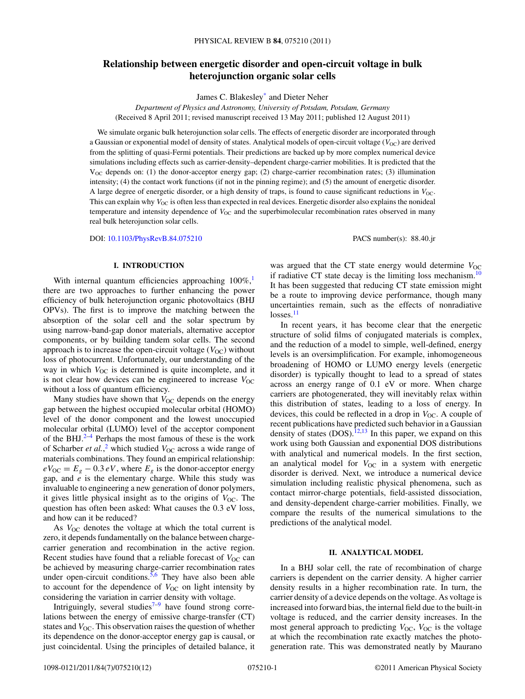# **Relationship between energetic disorder and open-circuit voltage in bulk heterojunction organic solar cells**

James C. Blakesle[y\\*](#page-10-0) and Dieter Neher

*Department of Physics and Astronomy, University of Potsdam, Potsdam, Germany* (Received 8 April 2011; revised manuscript received 13 May 2011; published 12 August 2011)

We simulate organic bulk heterojunction solar cells. The effects of energetic disorder are incorporated through a Gaussian or exponential model of density of states. Analytical models of open-circuit voltage ( $V_{\text{OC}}$ ) are derived from the splitting of quasi-Fermi potentials. Their predictions are backed up by more complex numerical device simulations including effects such as carrier-density–dependent charge-carrier mobilities. It is predicted that the  $V_{\text{OC}}$  depends on: (1) the donor-acceptor energy gap; (2) charge-carrier recombination rates; (3) illumination intensity; (4) the contact work functions (if not in the pinning regime); and (5) the amount of energetic disorder. A large degree of energetic disorder, or a high density of traps, is found to cause significant reductions in  $V_{\text{OC}}$ . This can explain why  $V_{\text{OC}}$  is often less than expected in real devices. Energetic disorder also explains the nonideal temperature and intensity dependence of  $V_{\text{OC}}$  and the superbimolecular recombination rates observed in many real bulk heterojunction solar cells.

DOI: [10.1103/PhysRevB.84.075210](http://dx.doi.org/10.1103/PhysRevB.84.075210) PACS number(s): 88*.*40*.*jr

#### **I. INTRODUCTION**

With internal quantum efficiencies approaching  $100\%$ , there are two approaches to further enhancing the power efficiency of bulk heterojunction organic photovoltaics (BHJ OPVs). The first is to improve the matching between the absorption of the solar cell and the solar spectrum by using narrow-band-gap donor materials, alternative acceptor components, or by building tandem solar cells. The second approach is to increase the open-circuit voltage  $(V_{OC})$  without loss of photocurrent. Unfortunately, our understanding of the way in which  $V_{\text{OC}}$  is determined is quite incomplete, and it is not clear how devices can be engineered to increase  $V_{\text{OC}}$ without a loss of quantum efficiency.

Many studies have shown that  $V_{OC}$  depends on the energy gap between the highest occupied molecular orbital (HOMO) level of the donor component and the lowest unoccupied molecular orbital (LUMO) level of the acceptor component of the BHJ. $2-4$  Perhaps the most famous of these is the work of Scharber *et al.*,<sup>[2](#page-10-0)</sup> which studied  $V_{OC}$  across a wide range of materials combinations. They found an empirical relationship:  $eV_{\text{OC}} = E_g - 0.3 eV$ , where  $E_g$  is the donor-acceptor energy gap, and *e* is the elementary charge. While this study was invaluable to engineering a new generation of donor polymers, it gives little physical insight as to the origins of  $V_{\text{OC}}$ . The question has often been asked: What causes the 0.3 eV loss, and how can it be reduced?

As  $V_{\text{OC}}$  denotes the voltage at which the total current is zero, it depends fundamentally on the balance between chargecarrier generation and recombination in the active region. Recent studies have found that a reliable forecast of  $V_{\text{OC}}$  can be achieved by measuring charge-carrier recombination rates under open-circuit conditions.  $\frac{5}{6}$  They have also been able to account for the dependence of  $V_{\text{OC}}$  on light intensity by considering the variation in carrier density with voltage.

Intriguingly, several studies $7-9$  have found strong correlations between the energy of emissive charge-transfer (CT) states and *V*<sub>OC</sub>. This observation raises the question of whether its dependence on the donor-acceptor energy gap is causal, or just coincidental. Using the principles of detailed balance, it was argued that the CT state energy would determine  $V_{\text{OC}}$ if radiative CT state decay is the limiting loss mechanism.<sup>[10](#page-10-0)</sup> It has been suggested that reducing CT state emission might be a route to improving device performance, though many uncertainties remain, such as the effects of nonradiative  $losses.<sup>11</sup>$  $losses.<sup>11</sup>$  $losses.<sup>11</sup>$ 

In recent years, it has become clear that the energetic structure of solid films of conjugated materials is complex, and the reduction of a model to simple, well-defined, energy levels is an oversimplification. For example, inhomogeneous broadening of HOMO or LUMO energy levels (energetic disorder) is typically thought to lead to a spread of states across an energy range of 0.1 eV or more. When charge carriers are photogenerated, they will inevitably relax within this distribution of states, leading to a loss of energy. In devices, this could be reflected in a drop in  $V_{OC}$ . A couple of recent publications have predicted such behavior in a Gaussian density of states  $(DOS)$ .<sup>[12,13](#page-10-0)</sup> In this paper, we expand on this work using both Gaussian and exponential DOS distributions with analytical and numerical models. In the first section, an analytical model for  $V_{OC}$  in a system with energetic disorder is derived. Next, we introduce a numerical device simulation including realistic physical phenomena, such as contact mirror-charge potentials, field-assisted dissociation, and density-dependent charge-carrier mobilities. Finally, we compare the results of the numerical simulations to the predictions of the analytical model.

### **II. ANALYTICAL MODEL**

In a BHJ solar cell, the rate of recombination of charge carriers is dependent on the carrier density. A higher carrier density results in a higher recombination rate. In turn, the carrier density of a device depends on the voltage. As voltage is increased into forward bias, the internal field due to the built-in voltage is reduced, and the carrier density increases. In the most general approach to predicting  $V_{\text{OC}}$ ,  $V_{\text{OC}}$  is the voltage at which the recombination rate exactly matches the photogeneration rate. This was demonstrated neatly by Maurano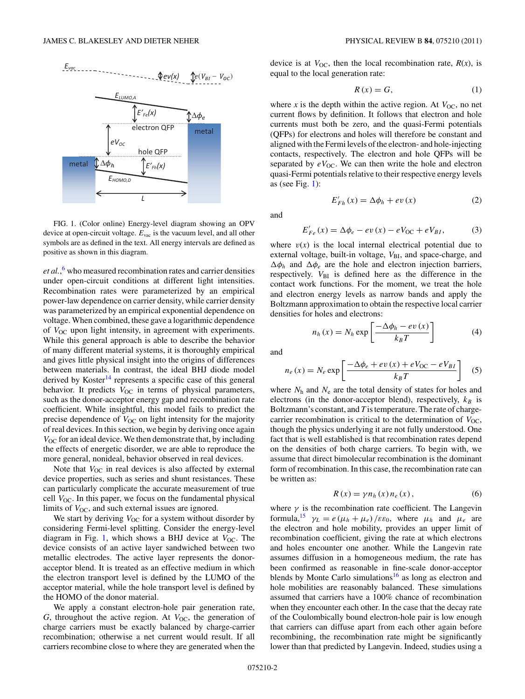<span id="page-1-0"></span>

FIG. 1. (Color online) Energy-level diagram showing an OPV device at open-circuit voltage. *E*vac is the vacuum level, and all other symbols are as defined in the text. All energy intervals are defined as positive as shown in this diagram.

*et al.*, [6](#page-10-0) who measured recombination rates and carrier densities under open-circuit conditions at different light intensities. Recombination rates were parameterized by an empirical power-law dependence on carrier density, while carrier density was parameterized by an empirical exponential dependence on voltage. When combined, these gave a logarithmic dependence of *V*<sub>OC</sub> upon light intensity, in agreement with experiments. While this general approach is able to describe the behavior of many different material systems, it is thoroughly empirical and gives little physical insight into the origins of differences between materials. In contrast, the ideal BHJ diode model derived by Koster<sup>[14](#page-10-0)</sup> represents a specific case of this general behavior. It predicts  $V_{OC}$  in terms of physical parameters, such as the donor-acceptor energy gap and recombination rate coefficient. While insightful, this model fails to predict the precise dependence of  $V_{\text{OC}}$  on light intensity for the majority of real devices. In this section, we begin by deriving once again  $V_{\rm OC}$  for an ideal device. We then demonstrate that, by including the effects of energetic disorder, we are able to reproduce the more general, nonideal, behavior observed in real devices.

Note that  $V_{OC}$  in real devices is also affected by external device properties, such as series and shunt resistances. These can particularly complicate the accurate measurement of true cell *V*<sub>OC</sub>. In this paper, we focus on the fundamental physical limits of  $V_{\text{OC}}$ , and such external issues are ignored.

We start by deriving  $V_{OC}$  for a system without disorder by considering Fermi-level splitting. Consider the energy-level diagram in Fig. 1, which shows a BHJ device at  $V_{\text{OC}}$ . The device consists of an active layer sandwiched between two metallic electrodes. The active layer represents the donoracceptor blend. It is treated as an effective medium in which the electron transport level is defined by the LUMO of the acceptor material, while the hole transport level is defined by the HOMO of the donor material.

We apply a constant electron-hole pair generation rate,  $G$ , throughout the active region. At  $V_{OC}$ , the generation of charge carriers must be exactly balanced by charge-carrier recombination; otherwise a net current would result. If all carriers recombine close to where they are generated when the device is at  $V_{OC}$ , then the local recombination rate,  $R(x)$ , is equal to the local generation rate:

$$
R\left(x\right) = G,\tag{1}
$$

where *x* is the depth within the active region. At  $V_{\text{OC}}$ , no net current flows by definition. It follows that electron and hole currents must both be zero, and the quasi-Fermi potentials (QFPs) for electrons and holes will therefore be constant and aligned with the Fermi levels of the electron- and hole-injecting contacts, respectively. The electron and hole QFPs will be separated by  $eV_{\text{OC}}$ . We can then write the hole and electron quasi-Fermi potentials relative to their respective energy levels as (see Fig.  $1$ ):

and

$$
f_{\rm{max}}(x)=\frac{1}{2}x
$$

 $E'_{Fh}(x) = \Delta \phi_h + ev(x)$  (2)

 $E'_{Fe}(x) = \Delta \phi_e - ev(x) - eV_{OC} + eV_{BI},$  (3)

where  $v(x)$  is the local internal electrical potential due to external voltage, built-in voltage,  $V_{\text{BI}}$ , and space-charge, and  $\Delta \phi_h$  and  $\Delta \phi_e$  are the hole and electron injection barriers, respectively.  $V_{\text{BI}}$  is defined here as the difference in the contact work functions. For the moment, we treat the hole and electron energy levels as narrow bands and apply the Boltzmann approximation to obtain the respective local carrier densities for holes and electrons:

$$
n_h(x) = N_h \exp\left[\frac{-\Delta\phi_h - ev(x)}{k_B T}\right]
$$
 (4)

and

$$
n_e(x) = N_e \exp\left[\frac{-\Delta\phi_e + ev(x) + eV_{\text{OC}} - eV_{BI}}{k_B T}\right] \quad (5)
$$

where  $N_h$  and  $N_e$  are the total density of states for holes and electrons (in the donor-acceptor blend), respectively,  $k_B$  is Boltzmann's constant, and *T* is temperature. The rate of chargecarrier recombination is critical to the determination of  $V_{\text{OC}}$ , though the physics underlying it are not fully understood. One fact that is well established is that recombination rates depend on the densities of both charge carriers. To begin with, we assume that direct bimolecular recombination is the dominant form of recombination. In this case, the recombination rate can be written as:

$$
R(x) = \gamma n_h(x) n_e(x), \qquad (6)
$$

where  $\gamma$  is the recombination rate coefficient. The Langevin formula,<sup>[15](#page-10-0)</sup>  $\gamma_L = e(\mu_h + \mu_e)/\varepsilon \varepsilon_0$ , where  $\mu_h$  and  $\mu_e$  are the electron and hole mobility, provides an upper limit of recombination coefficient, giving the rate at which electrons and holes encounter one another. While the Langevin rate assumes diffusion in a homogeneous medium, the rate has been confirmed as reasonable in fine-scale donor-acceptor blends by Monte Carlo simulations<sup>16</sup> as long as electron and hole mobilities are reasonably balanced. These simulations assumed that carriers have a 100% chance of recombination when they encounter each other. In the case that the decay rate of the Coulombically bound electron-hole pair is low enough that carriers can diffuse apart from each other again before recombining, the recombination rate might be significantly lower than that predicted by Langevin. Indeed, studies using a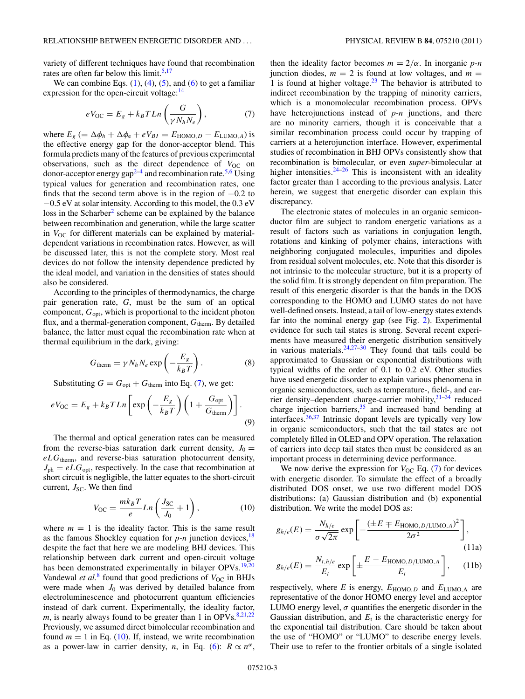<span id="page-2-0"></span>variety of different techniques have found that recombination rates are often far below this limit.<sup>5,17</sup>

We can combine Eqs.  $(1)$ ,  $(4)$ ,  $(5)$ , and  $(6)$  to get a familiar expression for the open-circuit voltage: $14$ 

$$
eV_{\rm OC} = E_g + k_B T L n \left(\frac{G}{\gamma N_h N_e}\right),\tag{7}
$$

where  $E_g$  (=  $\Delta \phi_h + \Delta \phi_e + eV_{BI} = E_{\text{HOMO},D} - E_{\text{LUMO},A}$ ) is the effective energy gap for the donor-acceptor blend. This formula predicts many of the features of previous experimental observations, such as the direct dependence of  $V_{OC}$  on donor-acceptor energy  $gap^{2-4}$  and recombination rate.<sup>5,6</sup> Using typical values for generation and recombination rates, one finds that the second term above is in the region of  $-0.2$  to −0.5 eV at solar intensity. According to this model, the 0.3 eV  $\cos$  in the Scharber<sup>2</sup> scheme can be explained by the balance between recombination and generation, while the large scatter in  $V_{\text{OC}}$  for different materials can be explained by materialdependent variations in recombination rates. However, as will be discussed later, this is not the complete story. Most real devices do not follow the intensity dependence predicted by the ideal model, and variation in the densities of states should also be considered.

According to the principles of thermodynamics, the charge pair generation rate, *G*, must be the sum of an optical component,  $G_{\text{opt}}$ , which is proportional to the incident photon flux, and a thermal-generation component,  $G<sub>therm</sub>$ . By detailed balance, the latter must equal the recombination rate when at thermal equilibrium in the dark, giving:

$$
G_{\text{therm}} = \gamma N_h N_e \exp\left(-\frac{E_g}{k_B T}\right). \tag{8}
$$

Substituting  $G = G_{opt} + G_{therm}$  into Eq. (7), we get:

$$
eV_{\rm OC} = E_g + k_B T L n \left[ \exp\left(-\frac{E_g}{k_B T}\right) \left(1 + \frac{G_{\rm opt}}{G_{\rm therm}}\right) \right].
$$
\n(9)

The thermal and optical generation rates can be measured from the reverse-bias saturation dark current density,  $J_0 =$ *eLG*therm, and reverse-bias saturation photocurrent density,  $J_{\text{ph}} = eLG_{\text{opt}}$ , respectively. In the case that recombination at short circuit is negligible, the latter equates to the short-circuit current,  $J_{SC}$ . We then find

$$
V_{\rm OC} = \frac{mk_B T}{e} Ln\left(\frac{J_{\rm SC}}{J_0} + 1\right),\tag{10}
$$

where  $m = 1$  is the ideality factor. This is the same result as the famous Shockley equation for  $p$ -n junction devices,<sup>18</sup> despite the fact that here we are modeling BHJ devices. This relationship between dark current and open-circuit voltage has been demonstrated experimentally in bilayer OPVs.<sup>[19,20](#page-10-0)</sup> Vandewal *et al.*<sup>[8](#page-10-0)</sup> found that good predictions of  $V_{OC}$  in BHJs were made when  $J_0$  was derived by detailed balance from electroluminescence and photocurrent quantum efficiencies instead of dark current. Experimentally, the ideality factor, *m*, is nearly always found to be greater than 1 in OPVs. $8,21,22$  $8,21,22$ Previously, we assumed direct bimolecular recombination and found  $m = 1$  in Eq. (10). If, instead, we write recombination as a power-law in carrier density, *n*, in Eq. [\(6\)](#page-1-0):  $R \propto n^{\alpha}$ , then the ideality factor becomes  $m = 2/\alpha$ . In inorganic *p-n* junction diodes,  $m = 2$  is found at low voltages, and  $m =$ 1 is found at higher voltage. $2^3$  The behavior is attributed to indirect recombination by the trapping of minority carriers, which is a monomolecular recombination process. OPVs have heterojunctions instead of *p-n* junctions, and there are no minority carriers, though it is conceivable that a similar recombination process could occur by trapping of carriers at a heterojunction interface. However, experimental studies of recombination in BHJ OPVs consistently show that recombination is bimolecular, or even *super*-bimolecular at higher intensities. $24-26$  This is inconsistent with an ideality factor greater than 1 according to the previous analysis. Later herein, we suggest that energetic disorder can explain this discrepancy.

The electronic states of molecules in an organic semiconductor film are subject to random energetic variations as a result of factors such as variations in conjugation length, rotations and kinking of polymer chains, interactions with neighboring conjugated molecules, impurities and dipoles from residual solvent molecules, etc. Note that this disorder is not intrinsic to the molecular structure, but it is a property of the solid film. It is strongly dependent on film preparation. The result of this energetic disorder is that the bands in the DOS corresponding to the HOMO and LUMO states do not have well-defined onsets. Instead, a tail of low-energy states extends far into the nominal energy gap (see Fig. [2\)](#page-3-0). Experimental evidence for such tail states is strong. Several recent experiments have measured their energetic distribution sensitively in various materials. $24,27-30$  They found that tails could be approximated to Gaussian or exponential distributions with typical widths of the order of 0.1 to 0.2 eV. Other studies have used energetic disorder to explain various phenomena in organic semiconductors, such as temperature-, field-, and carrier density–dependent charge-carrier mobility,[31–34](#page-11-0) reduced charge injection barriers,<sup>35</sup> and increased band bending at interfaces.[36,37](#page-11-0) Intrinsic dopant levels are typically very low in organic semiconductors, such that the tail states are not completely filled in OLED and OPV operation. The relaxation of carriers into deep tail states then must be considered as an important process in determining device performance.

We now derive the expression for  $V_{\text{OC}}$  Eq. (7) for devices with energetic disorder. To simulate the effect of a broadly distributed DOS onset, we use two different model DOS distributions: (a) Gaussian distribution and (b) exponential distribution. We write the model DOS as:

$$
g_{h/e}(E) = \frac{N_{h/e}}{\sigma \sqrt{2\pi}} \exp\left[-\frac{(\pm E \mp E_{\text{HOMO},D/\text{LUMO},A})^2}{2\sigma^2}\right],\tag{11a}
$$

$$
g_{h/e}(E) = \frac{N_{t,h/e}}{E_t} \exp\left[\pm \frac{E - E_{\text{HOMO},D/\text{LUMO},A}}{E_t}\right],\qquad(11b)
$$

respectively, where *E* is energy,  $E_{HOMO,D}$  and  $E_{LUMO,A}$  are representative of the donor HOMO energy level and acceptor LUMO energy level,  $\sigma$  quantifies the energetic disorder in the Gaussian distribution, and  $E_t$  is the characteristic energy for the exponential tail distribution. Care should be taken about the use of "HOMO" or "LUMO" to describe energy levels. Their use to refer to the frontier orbitals of a single isolated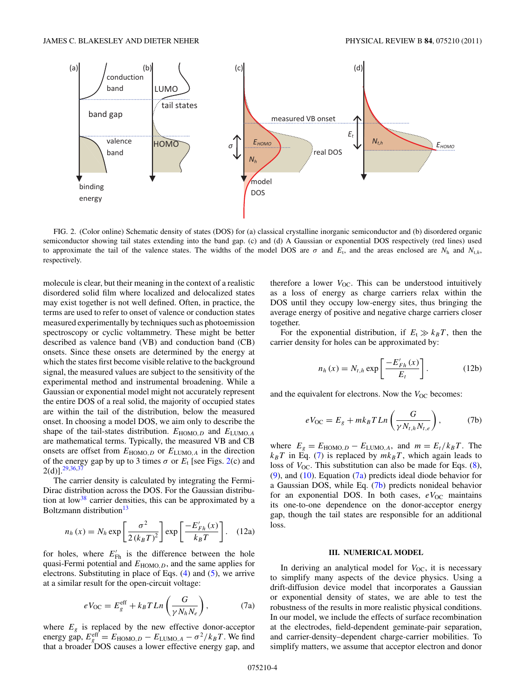<span id="page-3-0"></span>

FIG. 2. (Color online) Schematic density of states (DOS) for (a) classical crystalline inorganic semiconductor and (b) disordered organic semiconductor showing tail states extending into the band gap. (c) and (d) A Gaussian or exponential DOS respectively (red lines) used to approximate the tail of the valence states. The widths of the model DOS are  $\sigma$  and  $E_t$ , and the areas enclosed are  $N_h$  and  $N_{t,h}$ , respectively.

molecule is clear, but their meaning in the context of a realistic disordered solid film where localized and delocalized states may exist together is not well defined. Often, in practice, the terms are used to refer to onset of valence or conduction states measured experimentally by techniques such as photoemission spectroscopy or cyclic voltammetry. These might be better described as valence band (VB) and conduction band (CB) onsets. Since these onsets are determined by the energy at which the states first become visible relative to the background signal, the measured values are subject to the sensitivity of the experimental method and instrumental broadening. While a Gaussian or exponential model might not accurately represent the entire DOS of a real solid, the majority of occupied states are within the tail of the distribution, below the measured onset. In choosing a model DOS, we aim only to describe the shape of the tail-states distribution.  $E_{HOMO,D}$  and  $E_{LUMO,A}$ are mathematical terms. Typically, the measured VB and CB onsets are offset from  $E_{HOMO,D}$  or  $E_{LUMO,A}$  in the direction of the energy gap by up to 3 times  $\sigma$  or  $E_t$  [see Figs. 2(c) and  $2(d)$ ].<sup>29,36,37</sup>

The carrier density is calculated by integrating the Fermi-Dirac distribution across the DOS. For the Gaussian distribution at low<sup>38</sup> carrier densities, this can be approximated by a Boltzmann distribution<sup>[13](#page-10-0)</sup>

$$
n_h(x) = N_h \exp\left[\frac{\sigma^2}{2(k_B T)^2}\right] \exp\left[\frac{-E'_{Fh}(x)}{k_B T}\right].
$$
 (12a)

for holes, where  $E'_{\text{Fh}}$  is the difference between the hole quasi-Fermi potential and  $E_{HOMO, D}$ , and the same applies for electrons. Substituting in place of Eqs. [\(4\)](#page-1-0) and [\(5\)](#page-1-0), we arrive at a similar result for the open-circuit voltage:

$$
eV_{\rm OC} = E_g^{\rm eff} + k_B T L n \left(\frac{G}{\gamma N_h N_e}\right),\tag{7a}
$$

where  $E_g$  is replaced by the new effective donor-acceptor energy gap,  $E_{g}^{\text{eff}} = E_{\text{HOMO},D} - E_{\text{LUMO},A} - \sigma^2/k_B T$ . We find that a broader DOS causes a lower effective energy gap, and

therefore a lower  $V_{OC}$ . This can be understood intuitively as a loss of energy as charge carriers relax within the DOS until they occupy low-energy sites, thus bringing the average energy of positive and negative charge carriers closer together.

For the exponential distribution, if  $E_t \gg k_B T$ , then the carrier density for holes can be approximated by:

$$
n_h(x) = N_{t,h} \exp\left[\frac{-E'_{Fh}(x)}{E_t}\right].
$$
 (12b)

and the equivalent for electrons. Now the *V*<sub>OC</sub> becomes:

$$
eV_{\rm OC} = E_g + mk_B T L n \left(\frac{G}{\gamma N_{t,h} N_{t,e}}\right),\tag{7b}
$$

where  $E_g = E_{\text{HOMO},D} - E_{\text{LUMO},A}$ , and  $m = E_t/k_B T$ . The  $k_B T$  in Eq. [\(7\)](#page-2-0) is replaced by  $mk_B T$ , which again leads to loss of  $V_{\text{OC}}$ . This substitution can also be made for Eqs. [\(8\)](#page-2-0), [\(9\)](#page-2-0), and [\(10\)](#page-2-0). Equation (7a) predicts ideal diode behavior for a Gaussian DOS, while Eq. (7b) predicts nonideal behavior for an exponential DOS. In both cases,  $eV_{OC}$  maintains its one-to-one dependence on the donor-acceptor energy gap, though the tail states are responsible for an additional loss.

### **III. NUMERICAL MODEL**

In deriving an analytical model for  $V_{\text{OC}}$ , it is necessary to simplify many aspects of the device physics. Using a drift-diffusion device model that incorporates a Gaussian or exponential density of states, we are able to test the robustness of the results in more realistic physical conditions. In our model, we include the effects of surface recombination at the electrodes, field-dependent geminate-pair separation, and carrier-density–dependent charge-carrier mobilities. To simplify matters, we assume that acceptor electron and donor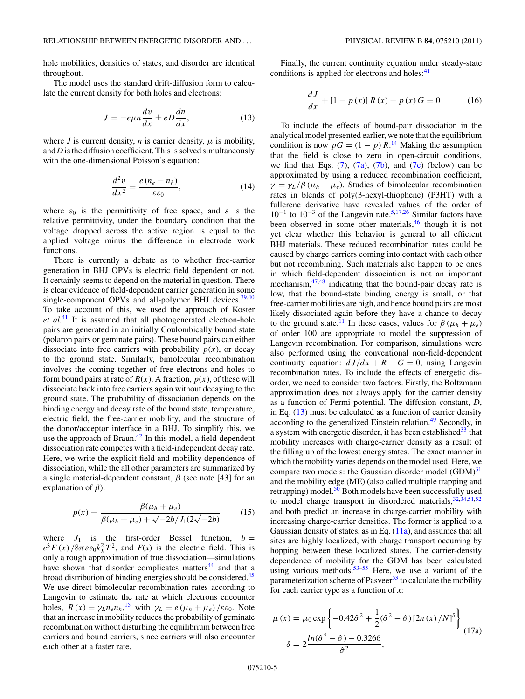<span id="page-4-0"></span>hole mobilities, densities of states, and disorder are identical throughout.

The model uses the standard drift-diffusion form to calculate the current density for both holes and electrons:

$$
J = -e\mu n \frac{dv}{dx} \pm eD \frac{dn}{dx},\qquad(13)
$$

where *J* is current density, *n* is carrier density,  $\mu$  is mobility, and *D* is the diffusion coefficient. This is solved simultaneously with the one-dimensional Poisson's equation:

$$
\frac{d^2v}{dx^2} = \frac{e\left(n_e - n_h\right)}{\varepsilon\varepsilon_0},\tag{14}
$$

where  $\varepsilon_0$  is the permittivity of free space, and  $\varepsilon$  is the relative permittivity, under the boundary condition that the voltage dropped across the active region is equal to the applied voltage minus the difference in electrode work functions.

There is currently a debate as to whether free-carrier generation in BHJ OPVs is electric field dependent or not. It certainly seems to depend on the material in question. There is clear evidence of field-dependent carrier generation in some single-component OPVs and all-polymer BHJ devices. $39,40$ To take account of this, we used the approach of Koster *et al.*[41](#page-11-0) It is assumed that all photogenerated electron-hole pairs are generated in an initially Coulombically bound state (polaron pairs or geminate pairs). These bound pairs can either dissociate into free carriers with probability  $p(x)$ , or decay to the ground state. Similarly, bimolecular recombination involves the coming together of free electrons and holes to form bound pairs at rate of  $R(x)$ . A fraction,  $p(x)$ , of these will dissociate back into free carriers again without decaying to the ground state. The probability of dissociation depends on the binding energy and decay rate of the bound state, temperature, electric field, the free-carrier mobility, and the structure of the donor/acceptor interface in a BHJ. To simplify this, we use the approach of Braun. $42$  In this model, a field-dependent dissociation rate competes with a field-independent decay rate. Here, we write the explicit field and mobility dependence of dissociation, while the all other parameters are summarized by a single material-dependent constant,  $\beta$  (see note [43] for an explanation of *β*):

$$
p(x) = \frac{\beta(\mu_h + \mu_e)}{\beta(\mu_h + \mu_e) + \sqrt{-2b}/J_1(2\sqrt{-2b})}
$$
(15)

where  $J_1$  is the first-order Bessel function,  $b =$  $e^{3}F(x)/8\pi \varepsilon \varepsilon_0 k_B^2 T^2$ , and  $F(x)$  is the electric field. This is only a rough approximation of true dissociation—simulations have shown that disorder complicates matters<sup>[44](#page-11-0)</sup> and that a broad distribution of binding energies should be considered.<sup>[45](#page-11-0)</sup> We use direct bimolecular recombination rates according to Langevin to estimate the rate at which electrons encounter holes,  $R(x) = \gamma_L n_e n_h$ <sup>[15](#page-10-0)</sup>, with  $\gamma_L = e(\mu_h + \mu_e)/\varepsilon \varepsilon_0$ . Note that an increase in mobility reduces the probability of geminate recombination without disturbing the equilibrium between free carriers and bound carriers, since carriers will also encounter each other at a faster rate.

Finally, the current continuity equation under steady-state conditions is applied for electrons and holes: $41$ 

$$
\frac{dJ}{dx} + [1 - p(x)]R(x) - p(x)G = 0 \tag{16}
$$

To include the effects of bound-pair dissociation in the analytical model presented earlier, we note that the equilibrium condition is now  $pG = (1 - p) R$ .<sup>[14](#page-10-0)</sup> Making the assumption that the field is close to zero in open-circuit conditions, we find that Eqs.  $(7)$ ,  $(7a)$ ,  $(7b)$ , and  $(7c)$  (below) can be approximated by using a reduced recombination coefficient,  $\gamma = \gamma_L/\beta (\mu_h + \mu_e)$ . Studies of bimolecular recombination rates in blends of poly(3-hexyl-thiophene) (P3HT) with a fullerene derivative have revealed values of the order of  $10^{-1}$  to  $10^{-3}$  of the Langevin rate.<sup>[5,17,](#page-10-0)[26](#page-11-0)</sup> Similar factors have been observed in some other materials,<sup>46</sup> though it is not yet clear whether this behavior is general to all efficient BHJ materials. These reduced recombination rates could be caused by charge carriers coming into contact with each other but not recombining. Such materials also happen to be ones in which field-dependent dissociation is not an important mechanism, $47,48$  indicating that the bound-pair decay rate is low, that the bound-state binding energy is small, or that free-carrier mobilities are high, and hence bound pairs are most likely dissociated again before they have a chance to decay to the ground state.<sup>[11](#page-10-0)</sup> In these cases, values for  $\beta$  ( $\mu_h + \mu_e$ ) of order 100 are appropriate to model the suppression of Langevin recombination. For comparison, simulations were also performed using the conventional non-field-dependent continuity equation:  $dJ/dx + R - G = 0$ , using Langevin recombination rates. To include the effects of energetic disorder, we need to consider two factors. Firstly, the Boltzmann approximation does not always apply for the carrier density as a function of Fermi potential. The diffusion constant, *D*, in Eq. (13) must be calculated as a function of carrier density according to the generalized Einstein relation.<sup>49</sup> Secondly, in a system with energetic disorder, it has been established $33$  that mobility increases with charge-carrier density as a result of the filling up of the lowest energy states. The exact manner in which the mobility varies depends on the model used. Here, we compare two models: the Gaussian disorder model  $(GDM)^{31}$ and the mobility edge (ME) (also called multiple trapping and retrapping) model. $50$  Both models have been successfully used to model charge transport in disordered materials,  $32,34,51,52$ and both predict an increase in charge-carrier mobility with increasing charge-carrier densities. The former is applied to a Gaussian density of states, as in Eq.  $(11a)$ , and assumes that all sites are highly localized, with charge transport occurring by hopping between these localized states. The carrier-density dependence of mobility for the GDM has been calculated using various methods.<sup>53–55</sup> Here, we use a variant of the parameterization scheme of Pasveer<sup>[53](#page-11-0)</sup> to calculate the mobility for each carrier type as a function of *x*:

$$
\mu(x) = \mu_0 \exp\left\{-0.42\hat{\sigma}^2 + \frac{1}{2}(\hat{\sigma}^2 - \hat{\sigma})\left[2n(x)/N\right]^\delta\right\}
$$

$$
\delta = 2\frac{\ln(\hat{\sigma}^2 - \hat{\sigma}) - 0.3266}{\hat{\sigma}^2},
$$
(17a)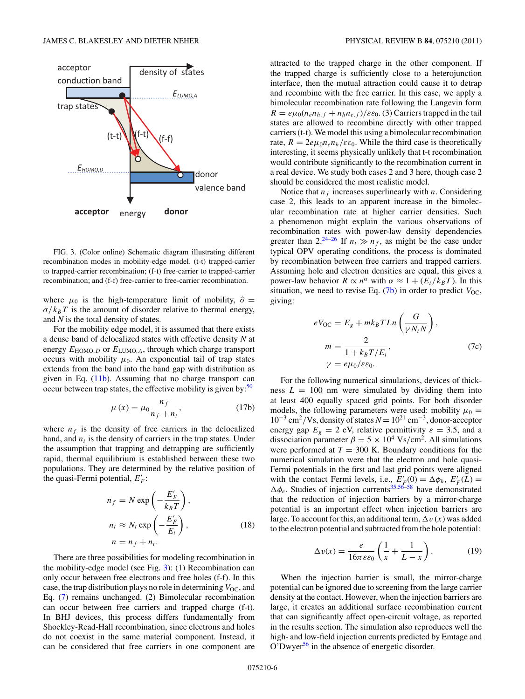<span id="page-5-0"></span>

FIG. 3. (Color online) Schematic diagram illustrating different recombination modes in mobility-edge model. (t-t) trapped-carrier to trapped-carrier recombination; (f-t) free-carrier to trapped-carrier recombination; and (f-f) free-carrier to free-carrier recombination.

where  $\mu_0$  is the high-temperature limit of mobility,  $\hat{\sigma}$  =  $\sigma/k_BT$  is the amount of disorder relative to thermal energy, and *N* is the total density of states.

For the mobility edge model, it is assumed that there exists a dense band of delocalized states with effective density *N* at energy *E*HOMO*,D* or *E*LUMO*,A*, through which charge transport occurs with mobility  $\mu_0$ . An exponential tail of trap states extends from the band into the band gap with distribution as given in Eq. [\(11b\)](#page-2-0). Assuming that no charge transport can occur between trap states, the effective mobility is given by: $50$ 

$$
\mu(x) = \mu_0 \frac{n_f}{n_f + n_t},\tag{17b}
$$

where  $n_f$  is the density of free carriers in the delocalized band, and  $n_t$  is the density of carriers in the trap states. Under the assumption that trapping and detrapping are sufficiently rapid, thermal equilibrium is established between these two populations. They are determined by the relative position of the quasi-Fermi potential,  $E'_F$ :

$$
n_f = N \exp\left(-\frac{E'_F}{k_B T}\right),
$$
  
\n
$$
n_t \approx N_t \exp\left(-\frac{E'_F}{E_t}\right),
$$
  
\n
$$
n = n_f + n_t.
$$
 (18)

There are three possibilities for modeling recombination in the mobility-edge model (see Fig. 3): (1) Recombination can only occur between free electrons and free holes (f-f). In this case, the trap distribution plays no role in determining  $V_{\text{OC}}$ , and Eq. [\(7\)](#page-2-0) remains unchanged. (2) Bimolecular recombination can occur between free carriers and trapped charge (f-t). In BHJ devices, this process differs fundamentally from Shockley-Read-Hall recombination, since electrons and holes do not coexist in the same material component. Instead, it can be considered that free carriers in one component are

attracted to the trapped charge in the other component. If the trapped charge is sufficiently close to a heterojunction interface, then the mutual attraction could cause it to detrap and recombine with the free carrier. In this case, we apply a bimolecular recombination rate following the Langevin form  $R = e\mu_0(n_e n_{h,f} + n_h n_{e,f})/\varepsilon \varepsilon_0$ . (3) Carriers trapped in the tail states are allowed to recombine directly with other trapped carriers (t-t). We model this using a bimolecular recombination rate,  $R = 2e\mu_0 n_e n_h/\varepsilon \varepsilon_0$ . While the third case is theoretically interesting, it seems physically unlikely that t-t recombination would contribute significantly to the recombination current in a real device. We study both cases 2 and 3 here, though case 2 should be considered the most realistic model.

Notice that  $n_f$  increases superlinearly with  $n$ . Considering case 2, this leads to an apparent increase in the bimolecular recombination rate at higher carrier densities. Such a phenomenon might explain the various observations of recombination rates with power-law density dependencies greater than 2.<sup>24–26</sup> If  $n_t \gg n_f$ , as might be the case under typical OPV operating conditions, the process is dominated by recombination between free carriers and trapped carriers. Assuming hole and electron densities are equal, this gives a power-law behavior  $R \propto n^{\alpha}$  with  $\alpha \approx 1 + (E_t/k_B T)$ . In this situation, we need to revise Eq.  $(7b)$  in order to predict  $V_{OC}$ , giving:

$$
eV_{\text{OC}} = E_g + mk_B T L n \left(\frac{G}{\gamma N_t N}\right),
$$
  
\n
$$
m = \frac{2}{1 + k_B T / E_t},
$$
  
\n
$$
\gamma = e\mu_0/\varepsilon \varepsilon_0.
$$
\n(7c)

For the following numerical simulations, devices of thickness  $L = 100$  nm were simulated by dividing them into at least 400 equally spaced grid points. For both disorder models, the following parameters were used: mobility  $\mu_0 =$ <sup>10</sup>−<sup>3</sup> cm2*/*Vs, density of states *<sup>N</sup>* <sup>=</sup> 1021 cm−3, donor-acceptor energy gap  $E<sub>g</sub> = 2$  eV, relative permittivity  $\varepsilon = 3.5$ , and a dissociation parameter  $\beta = 5 \times 10^4 \text{ Vs/cm}^2$ . All simulations were performed at  $T = 300$  K. Boundary conditions for the numerical simulation were that the electron and hole quasi-Fermi potentials in the first and last grid points were aligned with the contact Fermi levels, i.e.,  $E'_F(0) = \Delta \phi_h$ ,  $E'_F(L) =$  $\Delta\phi_e$ . Studies of injection currents<sup>[35,56–58](#page-11-0)</sup> have demonstrated that the reduction of injection barriers by a mirror-charge potential is an important effect when injection barriers are large. To account for this, an additional term,  $\Delta v(x)$  was added to the electron potential and subtracted from the hole potential:

$$
\Delta v(x) = \frac{e}{16\pi\varepsilon\varepsilon_0} \left(\frac{1}{x} + \frac{1}{L - x}\right). \tag{19}
$$

When the injection barrier is small, the mirror-charge potential can be ignored due to screening from the large carrier density at the contact. However, when the injection barriers are large, it creates an additional surface recombination current that can significantly affect open-circuit voltage, as reported in the results section. The simulation also reproduces well the high- and low-field injection currents predicted by Emtage and O'Dwyer[56](#page-11-0) in the absence of energetic disorder.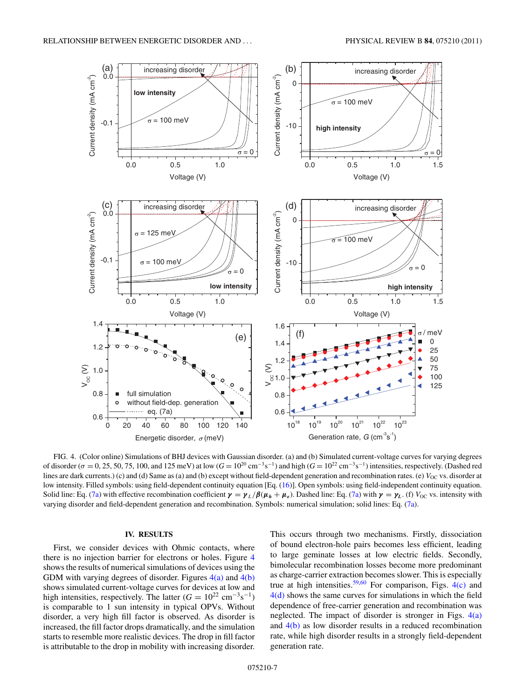<span id="page-6-0"></span>

FIG. 4. (Color online) Simulations of BHJ devices with Gaussian disorder. (a) and (b) Simulated current-voltage curves for varying degrees of disorder ( $\sigma$  = 0, 25, 50, 75, 100, and 125 meV) at low ( $G = 10^{20}$  cm<sup>-3</sup>s<sup>-1</sup>) and high ( $G = 10^{22}$  cm<sup>-3</sup>s<sup>-1</sup>) intensities, respectively. (Dashed red lines are dark currents.) (c) and (d) Same as (a) and (b) except without field-dependent generation and recombination rates. (e)  $V_{\text{OC}}$  vs. disorder at low intensity. Filled symbols: using field-dependent continuity equation [Eq. [\(16\)](#page-4-0)]. Open symbols: using field-independent continuity equation. Solid line: Eq. [\(7a\)](#page-3-0) with effective recombination coefficient  $\gamma = \gamma_L/\beta(\mu_h + \mu_e)$ . Dashed line: Eq. (7a) with  $\gamma = \gamma_L$  (f)  $V_{\text{OC}}$  vs. intensity with varying disorder and field-dependent generation and recombination. Symbols: numerical simulation; solid lines: Eq. [\(7a\)](#page-3-0).

# **IV. RESULTS**

First, we consider devices with Ohmic contacts, where there is no injection barrier for electrons or holes. Figure 4 shows the results of numerical simulations of devices using the GDM with varying degrees of disorder. Figures  $4(a)$  and  $4(b)$ shows simulated current-voltage curves for devices at low and high intensities, respectively. The latter  $(G = 10^{22} \text{ cm}^{-3} \text{s}^{-1})$ is comparable to 1 sun intensity in typical OPVs. Without disorder, a very high fill factor is observed. As disorder is increased, the fill factor drops dramatically, and the simulation starts to resemble more realistic devices. The drop in fill factor is attributable to the drop in mobility with increasing disorder. This occurs through two mechanisms. Firstly, dissociation of bound electron-hole pairs becomes less efficient, leading to large geminate losses at low electric fields. Secondly, bimolecular recombination losses become more predominant as charge-carrier extraction becomes slower. This is especially true at high intensities.<sup>[59,60](#page-11-0)</sup> For comparison, Figs.  $4(c)$  and 4(d) shows the same curves for simulations in which the field dependence of free-carrier generation and recombination was neglected. The impact of disorder is stronger in Figs.  $4(a)$ and 4(b) as low disorder results in a reduced recombination rate, while high disorder results in a strongly field-dependent generation rate.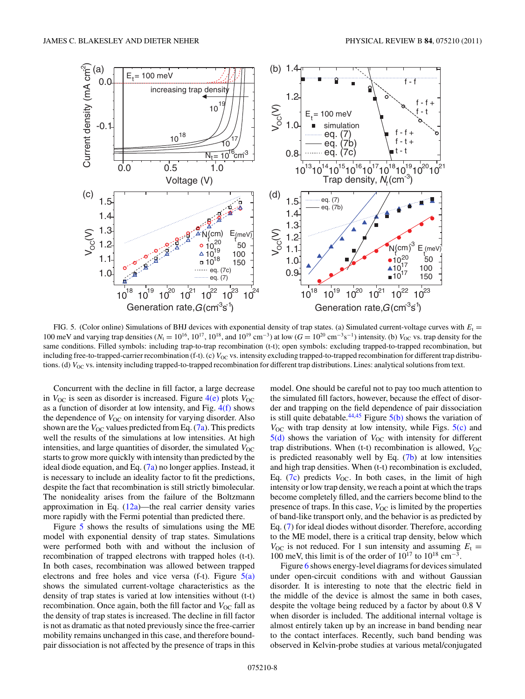

FIG. 5. (Color online) Simulations of BHJ devices with exponential density of trap states. (a) Simulated current-voltage curves with  $E_t$  = 100 meV and varying trap densities ( $N_t = 10^{16}$ , 10<sup>17</sup>, 10<sup>18</sup>, and 10<sup>19</sup> cm<sup>−3</sup>) at low ( $G = 10^{20}$  cm<sup>−3</sup>s<sup>−1</sup>) intensity. (b)  $V_{OC}$  vs. trap density for the same conditions. Filled symbols: including trap-to-trap recombination (t-t); open symbols: excluding trapped-to-trapped recombination, but including free-to-trapped-carrier recombination (f-t). (c)  $V_{OC}$  vs. intensity excluding trapped-to-trapped recombination for different trap distributions. (d) *V*<sub>OC</sub> vs. intensity including trapped-to-trapped recombination for different trap distributions. Lines: analytical solutions from text.

Concurrent with the decline in fill factor, a large decrease in  $V_{\text{OC}}$  is seen as disorder is increased. Figure  $4(e)$  plots  $V_{\text{OC}}$ as a function of disorder at low intensity, and Fig. [4\(f\)](#page-6-0) shows the dependence of *V*<sub>OC</sub> on intensity for varying disorder. Also shown are the  $V_{\text{OC}}$  values predicted from Eq. [\(7a\)](#page-3-0). This predicts well the results of the simulations at low intensities. At high intensities, and large quantities of disorder, the simulated  $V_{\text{OC}}$ starts to grow more quickly with intensity than predicted by the ideal diode equation, and Eq.  $(7a)$  no longer applies. Instead, it is necessary to include an ideality factor to fit the predictions, despite the fact that recombination is still strictly bimolecular. The nonideality arises from the failure of the Boltzmann approximation in Eq.  $(12a)$ —the real carrier density varies more rapidly with the Fermi potential than predicted there.

Figure 5 shows the results of simulations using the ME model with exponential density of trap states. Simulations were performed both with and without the inclusion of recombination of trapped electrons with trapped holes (t-t). In both cases, recombination was allowed between trapped electrons and free holes and vice versa (f-t). Figure  $5(a)$ shows the simulated current-voltage characteristics as the density of trap states is varied at low intensities without (t-t) recombination. Once again, both the fill factor and *V*<sub>OC</sub> fall as the density of trap states is increased. The decline in fill factor is not as dramatic as that noted previously since the free-carrier mobility remains unchanged in this case, and therefore boundpair dissociation is not affected by the presence of traps in this model. One should be careful not to pay too much attention to the simulated fill factors, however, because the effect of disorder and trapping on the field dependence of pair dissociation is still quite debatable.<sup>[44,45](#page-11-0)</sup> Figure  $5(b)$  shows the variation of  $V_{\text{OC}}$  with trap density at low intensity, while Figs.  $5(c)$  and  $5(d)$  shows the variation of  $V_{OC}$  with intensity for different trap distributions. When (t-t) recombination is allowed,  $V_{OC}$ is predicted reasonably well by Eq.  $(7b)$  at low intensities and high trap densities. When (t-t) recombination is excluded, Eq.  $(7c)$  predicts  $V_{OC}$ . In both cases, in the limit of high intensity or low trap density, we reach a point at which the traps become completely filled, and the carriers become blind to the presence of traps. In this case,  $V_{OC}$  is limited by the properties of band-like transport only, and the behavior is as predicted by Eq. [\(7\)](#page-2-0) for ideal diodes without disorder. Therefore, according to the ME model, there is a critical trap density, below which  $V_{\text{OC}}$  is not reduced. For 1 sun intensity and assuming  $E_t =$ 100 meV, this limit is of the order of  $10^{17}$  to  $10^{18}$  cm<sup>-3</sup>.

Figure [6](#page-8-0) shows energy-level diagrams for devices simulated under open-circuit conditions with and without Gaussian disorder. It is interesting to note that the electric field in the middle of the device is almost the same in both cases, despite the voltage being reduced by a factor by about 0.8 V when disorder is included. The additional internal voltage is almost entirely taken up by an increase in band bending near to the contact interfaces. Recently, such band bending was observed in Kelvin-probe studies at various metal/conjugated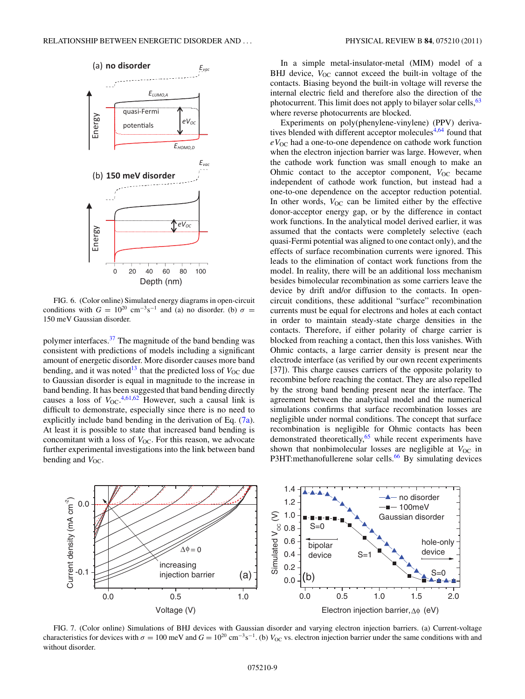<span id="page-8-0"></span>

FIG. 6. (Color online) Simulated energy diagrams in open-circuit conditions with  $G = 10^{20}$  cm<sup>-3</sup>s<sup>-1</sup> and (a) no disorder. (b)  $\sigma =$ 150 meV Gaussian disorder.

polymer interfaces.[37](#page-11-0) The magnitude of the band bending was consistent with predictions of models including a significant amount of energetic disorder. More disorder causes more band bending, and it was noted<sup>13</sup> that the predicted loss of  $V_{\text{OC}}$  due to Gaussian disorder is equal in magnitude to the increase in band bending. It has been suggested that band bending directly causes a loss of  $V_{\text{OC}}^{4,61,62}$  $V_{\text{OC}}^{4,61,62}$  $V_{\text{OC}}^{4,61,62}$  $V_{\text{OC}}^{4,61,62}$  However, such a causal link is difficult to demonstrate, especially since there is no need to explicitly include band bending in the derivation of Eq. [\(7a\)](#page-3-0). At least it is possible to state that increased band bending is concomitant with a loss of  $V_{\text{OC}}$ . For this reason, we advocate further experimental investigations into the link between band bending and  $V_{\text{OC}}$ .

In a simple metal-insulator-metal (MIM) model of a BHJ device,  $V_{\text{OC}}$  cannot exceed the built-in voltage of the contacts. Biasing beyond the built-in voltage will reverse the internal electric field and therefore also the direction of the photocurrent. This limit does not apply to bilayer solar cells,  $63$ where reverse photocurrents are blocked.

Experiments on poly(phenylene-vinylene) (PPV) derivatives blended with different acceptor molecules $4,64$  $4,64$  found that  $eV_{\text{OC}}$  had a one-to-one dependence on cathode work function when the electron injection barrier was large. However, when the cathode work function was small enough to make an Ohmic contact to the acceptor component,  $V_{OC}$  became independent of cathode work function, but instead had a one-to-one dependence on the acceptor reduction potential. In other words,  $V_{OC}$  can be limited either by the effective donor-acceptor energy gap, or by the difference in contact work functions. In the analytical model derived earlier, it was assumed that the contacts were completely selective (each quasi-Fermi potential was aligned to one contact only), and the effects of surface recombination currents were ignored. This leads to the elimination of contact work functions from the model. In reality, there will be an additional loss mechanism besides bimolecular recombination as some carriers leave the device by drift and/or diffusion to the contacts. In opencircuit conditions, these additional "surface" recombination currents must be equal for electrons and holes at each contact in order to maintain steady-state charge densities in the contacts. Therefore, if either polarity of charge carrier is blocked from reaching a contact, then this loss vanishes. With Ohmic contacts, a large carrier density is present near the electrode interface (as verified by our own recent experiments [37]). This charge causes carriers of the opposite polarity to recombine before reaching the contact. They are also repelled by the strong band bending present near the interface. The agreement between the analytical model and the numerical simulations confirms that surface recombination losses are negligible under normal conditions. The concept that surface recombination is negligible for Ohmic contacts has been demonstrated theoretically,<sup>65</sup> while recent experiments have shown that nonbimolecular losses are negligible at  $V_{OC}$  in P3HT:methanofullerene solar cells.<sup>66</sup> By simulating devices



FIG. 7. (Color online) Simulations of BHJ devices with Gaussian disorder and varying electron injection barriers. (a) Current-voltage characteristics for devices with  $\sigma = 100$  meV and  $G = 10^{20}$  cm<sup>-3</sup>s<sup>-1</sup>. (b)  $V_{OC}$  vs. electron injection barrier under the same conditions with and without disorder.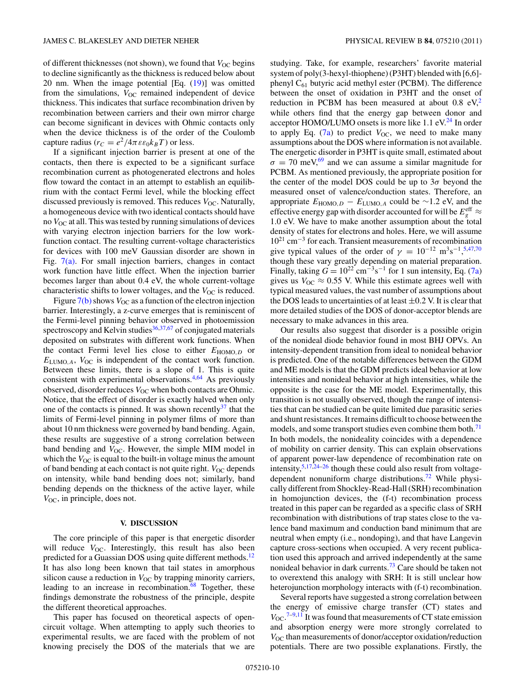of different thicknesses (not shown), we found that *V*<sub>OC</sub> begins to decline significantly as the thickness is reduced below about 20 nm. When the image potential  $[Eq. (19)]$  $[Eq. (19)]$  $[Eq. (19)]$  was omitted from the simulations,  $V_{OC}$  remained independent of device thickness. This indicates that surface recombination driven by recombination between carriers and their own mirror charge can become significant in devices with Ohmic contacts only when the device thickness is of the order of the Coulomb capture radius ( $r_C = e^2/4\pi \varepsilon \varepsilon_0 k_B T$ ) or less.

If a significant injection barrier is present at one of the contacts, then there is expected to be a significant surface recombination current as photogenerated electrons and holes flow toward the contact in an attempt to establish an equilibrium with the contact Fermi level, while the blocking effect discussed previously is removed. This reduces *V*<sub>OC</sub>. Naturally, a homogeneous device with two identical contacts should have no *V*<sub>OC</sub> at all. This was tested by running simulations of devices with varying electron injection barriers for the low workfunction contact. The resulting current-voltage characteristics for devices with 100 meV Gaussian disorder are shown in Fig. [7\(a\).](#page-8-0) For small injection barriers, changes in contact work function have little effect. When the injection barrier becomes larger than about 0.4 eV, the whole current-voltage characteristic shifts to lower voltages, and the *V*<sub>OC</sub> is reduced.

Figure  $7(b)$  shows  $V_{OC}$  as a function of the electron injection barrier. Interestingly, a z-curve emerges that is reminiscent of the Fermi-level pinning behavior observed in photoemission spectroscopy and Kelvin studies $36,37,67$  of conjugated materials deposited on substrates with different work functions. When the contact Fermi level lies close to either  $E_{\text{HOMO},D}$  or *E*LUMO*,A*, *V*OC is independent of the contact work function. Between these limits, there is a slope of 1. This is quite consistent with experimental observations.<sup>4,[64](#page-11-0)</sup> As previously observed, disorder reduces *V*<sub>OC</sub> when both contacts are Ohmic. Notice, that the effect of disorder is exactly halved when only one of the contacts is pinned. It was shown recently  $37$  that the limits of Fermi-level pinning in polymer films of more than about 10 nm thickness were governed by band bending. Again, these results are suggestive of a strong correlation between band bending and  $V_{\text{OC}}$ . However, the simple MIM model in which the *V*<sub>OC</sub> is equal to the built-in voltage minus the amount of band bending at each contact is not quite right. *V*<sub>OC</sub> depends on intensity, while band bending does not; similarly, band bending depends on the thickness of the active layer, while  $V_{\text{OC}}$ , in principle, does not.

# **V. DISCUSSION**

The core principle of this paper is that energetic disorder will reduce  $V_{\text{OC}}$ . Interestingly, this result has also been predicted for a Guassian DOS using quite different methods.<sup>12</sup> It has also long been known that tail states in amorphous silicon cause a reduction in  $V_{OC}$  by trapping minority carriers, leading to an increase in recombination. $68$  Together, these findings demonstrate the robustness of the principle, despite the different theoretical approaches.

This paper has focused on theoretical aspects of opencircuit voltage. When attempting to apply such theories to experimental results, we are faced with the problem of not knowing precisely the DOS of the materials that we are studying. Take, for example, researchers' favorite material system of poly(3-hexyl-thiophene) (P3HT) blended with [6,6] phenyl  $C_{61}$  butyric acid methyl ester (PCBM). The difference between the onset of oxidation in P3HT and the onset of reduction in PCBM has been measured at about  $0.8 \text{ eV}^2$  $0.8 \text{ eV}^2$ . while others find that the energy gap between donor and acceptor HOMO/LUMO onsets is more like  $1.1 \text{ eV}^{24}$  In order to apply Eq.  $(7a)$  to predict  $V_{OC}$ , we need to make many assumptions about the DOS where information is not available. The energetic disorder in P3HT is quite small, estimated about  $\sigma = 70$  meV,<sup>[69](#page-11-0)</sup> and we can assume a similar magnitude for PCBM. As mentioned previously, the appropriate position for the center of the model DOS could be up to 3*σ* beyond the measured onset of valence/conduction states. Therefore, an appropriate  $E_{\text{HOMO},D} - E_{\text{LUMO},A}$  could be ~1.2 eV, and the effective energy gap with disorder accounted for will be  $E_g^{\text{eff}} \approx$ 1.0 eV. We have to make another assumption about the total density of states for electrons and holes. Here, we will assume 1021 cm−<sup>3</sup> for each. Transient measurements of recombination give typical values of the order of  $\gamma = 10^{-12} \text{ m}^3 \text{s}^{-1}, ^{5,47,70}$  $\gamma = 10^{-12} \text{ m}^3 \text{s}^{-1}, ^{5,47,70}$  $\gamma = 10^{-12} \text{ m}^3 \text{s}^{-1}, ^{5,47,70}$  $\gamma = 10^{-12} \text{ m}^3 \text{s}^{-1}, ^{5,47,70}$ though these vary greatly depending on material preparation. Finally, taking  $G = 10^{22}$  cm<sup>-3</sup>s<sup>-1</sup> for 1 sun intensity, Eq. [\(7a\)](#page-3-0) gives us  $V_{\text{OC}} \approx 0.55$  V. While this estimate agrees well with typical measured values, the vast number of assumptions about the DOS leads to uncertainties of at least  $\pm 0.2$  V. It is clear that more detailed studies of the DOS of donor-acceptor blends are necessary to make advances in this area.

Our results also suggest that disorder is a possible origin of the nonideal diode behavior found in most BHJ OPVs. An intensity-dependent transition from ideal to nonideal behavior is predicted. One of the notable differences between the GDM and ME models is that the GDM predicts ideal behavior at low intensities and nonideal behavior at high intensities, while the opposite is the case for the ME model. Experimentally, this transition is not usually observed, though the range of intensities that can be studied can be quite limited due parasitic series and shunt resistances. It remains difficult to choose between the models, and some transport studies even combine them both.<sup>[71](#page-11-0)</sup> In both models, the nonideality coincides with a dependence of mobility on carrier density. This can explain observations of apparent power-law dependence of recombination rate on intensity, $5,17,24-26$  $5,17,24-26$  though these could also result from voltage-dependent nonuniform charge distributions.<sup>[72](#page-11-0)</sup> While physically different from Shockley-Read-Hall (SRH) recombination in homojunction devices, the (f-t) recombination process treated in this paper can be regarded as a specific class of SRH recombination with distributions of trap states close to the valence band maximum and conduction band minimum that are neutral when empty (i.e., nondoping), and that have Langevin capture cross-sections when occupied. A very recent publication used this approach and arrived independently at the same nonideal behavior in dark currents.<sup>[73](#page-11-0)</sup> Care should be taken not to overextend this analogy with SRH: It is still unclear how heterojunction morphology interacts with (f-t) recombination.

Several reports have suggested a strong correlation between the energy of emissive charge transfer (CT) states and  $V_{\text{OC}}$ .<sup>[7–9,11](#page-10-0)</sup> It was found that measurements of CT state emission and absorption energy were more strongly correlated to *V*OC than measurements of donor/acceptor oxidation/reduction potentials. There are two possible explanations. Firstly, the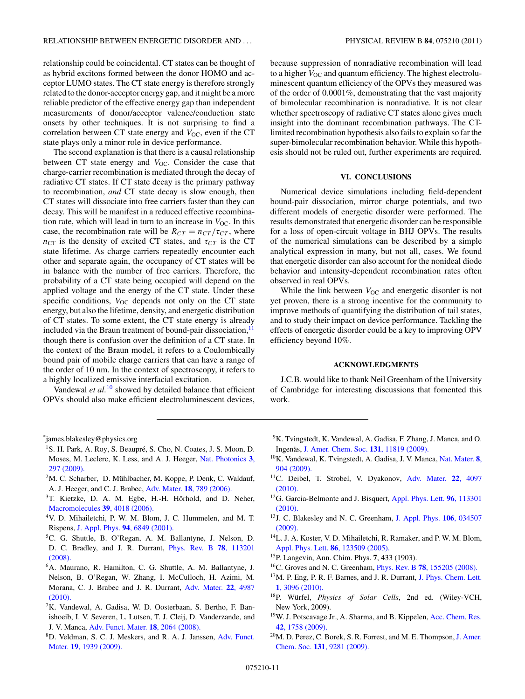<span id="page-10-0"></span>onsets by other techniques. It is not surprising to find a correlation between CT state energy and *V*<sub>OC</sub>, even if the CT

state plays only a minor role in device performance. The second explanation is that there is a causal relationship between CT state energy and  $V_{OC}$ . Consider the case that charge-carrier recombination is mediated through the decay of radiative CT states. If CT state decay is the primary pathway to recombination, *and* CT state decay is slow enough, then CT states will dissociate into free carriers faster than they can decay. This will be manifest in a reduced effective recombination rate, which will lead in turn to an increase in  $V_{\text{OC}}$ . In this case, the recombination rate will be  $R_{CT} = n_{CT}/\tau_{CT}$ , where  $n_{CT}$  is the density of excited CT states, and  $\tau_{CT}$  is the CT state lifetime. As charge carriers repeatedly encounter each other and separate again, the occupancy of CT states will be in balance with the number of free carriers. Therefore, the probability of a CT state being occupied will depend on the applied voltage and the energy of the CT state. Under these specific conditions,  $V_{OC}$  depends not only on the CT state energy, but also the lifetime, density, and energetic distribution of CT states. To some extent, the CT state energy is already included via the Braun treatment of bound-pair dissociation, $<sup>11</sup>$ </sup> though there is confusion over the definition of a CT state. In the context of the Braun model, it refers to a Coulombically bound pair of mobile charge carriers that can have a range of the order of 10 nm. In the context of spectroscopy, it refers to a highly localized emissive interfacial excitation.

Vandewal *et al.*<sup>10</sup> showed by detailed balance that efficient OPVs should also make efficient electroluminescent devices, because suppression of nonradiative recombination will lead to a higher  $V_{\text{OC}}$  and quantum efficiency. The highest electroluminescent quantum efficiency of the OPVs they measured was of the order of 0.0001%, demonstrating that the vast majority of bimolecular recombination is nonradiative. It is not clear whether spectroscopy of radiative CT states alone gives much insight into the dominant recombination pathways. The CTlimited recombination hypothesis also fails to explain so far the super-bimolecular recombination behavior. While this hypothesis should not be ruled out, further experiments are required.

## **VI. CONCLUSIONS**

Numerical device simulations including field-dependent bound-pair dissociation, mirror charge potentials, and two different models of energetic disorder were performed. The results demonstrated that energetic disorder can be responsible for a loss of open-circuit voltage in BHJ OPVs. The results of the numerical simulations can be described by a simple analytical expression in many, but not all, cases. We found that energetic disorder can also account for the nonideal diode behavior and intensity-dependent recombination rates often observed in real OPVs.

While the link between  $V_{OC}$  and energetic disorder is not yet proven, there is a strong incentive for the community to improve methods of quantifying the distribution of tail states, and to study their impact on device performance. Tackling the effects of energetic disorder could be a key to improving OPV efficiency beyond 10%.

# **ACKNOWLEDGMENTS**

J.C.B. would like to thank Neil Greenham of the University of Cambridge for interesting discussions that fomented this work.

- <sup>1</sup>S. H. Park, A. Roy, S. Beaupré, S. Cho, N. Coates, J. S. Moon, D. Moses, M. Leclerc, K. Less, and A. J. Heeger, [Nat. Photonics](http://dx.doi.org/10.1038/nphoton.2009.69) **3**, [297 \(2009\).](http://dx.doi.org/10.1038/nphoton.2009.69)
- $2M$ . C. Scharber, D. Mühlbacher, M. Koppe, P. Denk, C. Waldauf, A. J. Heeger, and C. J. Brabec, Adv. Mater. **18**[, 789 \(2006\).](http://dx.doi.org/10.1002/adma.200501717)
- $3$ T. Kietzke, D. A. M. Egbe, H.-H. Hörhold, and D. Neher, [Macromolecules](http://dx.doi.org/10.1021/ma060199l) **39**, 4018 (2006).
- 4V. D. Mihailetchi, P. W. M. Blom, J. C. Hummelen, and M. T. Rispens, J. Appl. Phys. **94**[, 6849 \(2001\).](http://dx.doi.org/10.1063/1.1620683)
- 5C. G. Shuttle, B. O'Regan, A. M. Ballantyne, J. Nelson, D. D. C. Bradley, and J. R. Durrant, [Phys. Rev. B](http://dx.doi.org/10.1103/PhysRevB.78.113201) **78**, 113201 [\(2008\).](http://dx.doi.org/10.1103/PhysRevB.78.113201)
- 6A. Maurano, R. Hamilton, C. G. Shuttle, A. M. Ballantyne, J. Nelson, B. O'Regan, W. Zhang, I. McCulloch, H. Azimi, M. Morana, C. J. Brabec and J. R. Durrant, [Adv. Mater.](http://dx.doi.org/10.1002/adma.201001922) **22**, 4987 [\(2010\).](http://dx.doi.org/10.1002/adma.201001922)
- 7K. Vandewal, A. Gadisa, W. D. Oosterbaan, S. Bertho, F. Banishoeib, I. V. Severen, L. Lutsen, T. J. Cleij, D. Vanderzande, and J. V. Manca, [Adv. Funct. Mater.](http://dx.doi.org/10.1002/adfm.200800056) **18**, 2064 (2008).
- 8D. Veldman, S. C. J. Meskers, and R. A. J. Janssen, [Adv. Funct.](http://dx.doi.org/10.1002/adfm.200900090) Mater. **19**[, 1939 \(2009\).](http://dx.doi.org/10.1002/adfm.200900090)
- 9K. Tvingstedt, K. Vandewal, A. Gadisa, F. Zhang, J. Manca, and O. Ingenäs, [J. Amer. Chem. Soc.](http://dx.doi.org/10.1021/ja903100p) 131, 11819 (2009).
- 10K. Vandewal, K. Tvingstedt, A. Gadisa, J. V. Manca, [Nat. Mater.](http://dx.doi.org/10.1038/nmat2548) **8**, [904 \(2009\).](http://dx.doi.org/10.1038/nmat2548)
- 11C. Deibel, T. Strobel, V. Dyakonov, [Adv. Mater.](http://dx.doi.org/10.1002/adma.201000376) **22**, 4097 [\(2010\).](http://dx.doi.org/10.1002/adma.201000376)
- 12G. Garcia-Belmonte and J. Bisquert, [Appl. Phys. Lett.](http://dx.doi.org/10.1063/1.3358121) **96**, 113301 [\(2010\).](http://dx.doi.org/10.1063/1.3358121)
- 13J. C. Blakesley and N. C. Greenham, [J. Appl. Phys.](http://dx.doi.org/10.1063/1.3187787) **106**, 034507 [\(2009\).](http://dx.doi.org/10.1063/1.3187787)
- <sup>14</sup>L. J. A. Koster, V. D. Mihailetchi, R. Ramaker, and P. W. M. Blom, [Appl. Phys. Lett.](http://dx.doi.org/10.1063/1.1889240) **86**, 123509 (2005).
- 15P. Langevin, Ann. Chim. Phys. **7**, 433 (1903).
- 16C. Groves and N. C. Greenham, Phys. Rev. B **78**[, 155205 \(2008\).](http://dx.doi.org/10.1103/PhysRevB.78.155205)
- $17M$ . P. Eng, P. R. F. Barnes, and J. R. Durrant, [J. Phys. Chem. Lett.](http://dx.doi.org/10.1021/jz1011803) **1**[, 3096 \(2010\).](http://dx.doi.org/10.1021/jz1011803)
- <sup>18</sup>P. Würfel, *Physics of Solar Cells*, 2nd ed. (Wiley-VCH, New York, 2009).
- <sup>19</sup>W. J. Potscavage Jr., A. Sharma, and B. Kippelen, [Acc. Chem. Res.](http://dx.doi.org/10.1021/ar900139v) **42**[, 1758 \(2009\).](http://dx.doi.org/10.1021/ar900139v)
- <sup>20</sup>M. D. Perez, C. Borek, S. R. Forrest, and M. E. Thompson, [J. Amer.](http://dx.doi.org/10.1021/ja9007722) Chem. Soc. **131**[, 9281 \(2009\).](http://dx.doi.org/10.1021/ja9007722)

<sup>\*</sup> james.blakesley@physics.org